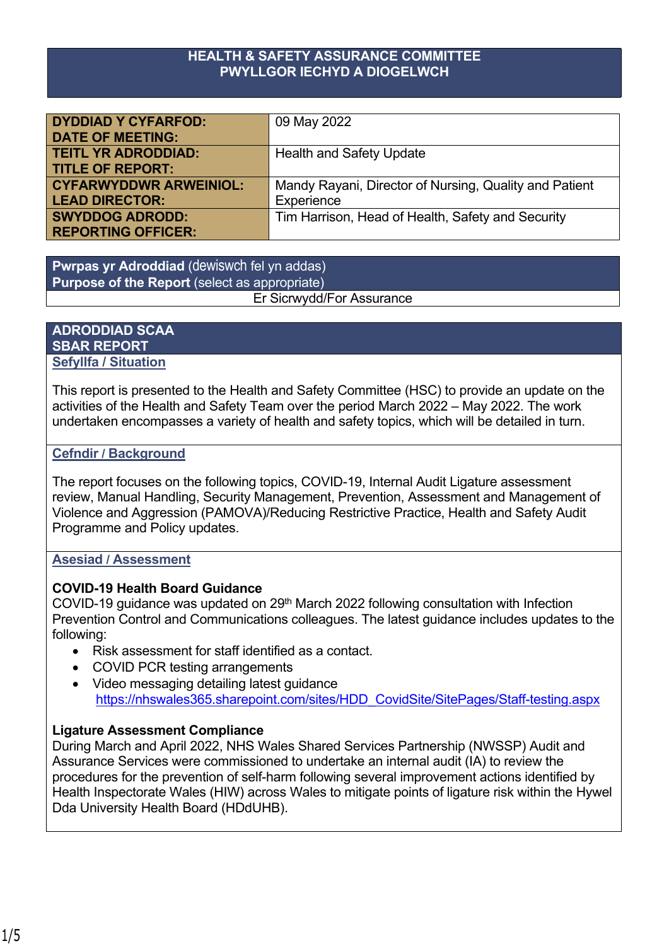#### **HEALTH & SAFETY ASSURANCE COMMITTEE PWYLLGOR IECHYD A DIOGELWCH**

| <b>DYDDIAD Y CYFARFOD:</b>    | 09 May 2022                                            |
|-------------------------------|--------------------------------------------------------|
| <b>DATE OF MEETING:</b>       |                                                        |
| <b>TEITL YR ADRODDIAD:</b>    | <b>Health and Safety Update</b>                        |
| <b>TITLE OF REPORT:</b>       |                                                        |
| <b>CYFARWYDDWR ARWEINIOL:</b> | Mandy Rayani, Director of Nursing, Quality and Patient |
| <b>LEAD DIRECTOR:</b>         | Experience                                             |
| <b>SWYDDOG ADRODD:</b>        | Tim Harrison, Head of Health, Safety and Security      |
| <b>REPORTING OFFICER:</b>     |                                                        |

**Pwrpas yr Adroddiad** (dewiswch fel yn addas) **Purpose of the Report** (select as appropriate) Er Sicrwydd/For Assurance

#### **ADRODDIAD SCAA SBAR REPORT Sefyllfa / Situation**

This report is presented to the Health and Safety Committee (HSC) to provide an update on the activities of the Health and Safety Team over the period March 2022 – May 2022. The work undertaken encompasses a variety of health and safety topics, which will be detailed in turn.

## **Cefndir / Background**

The report focuses on the following topics, COVID-19, Internal Audit Ligature assessment review, Manual Handling, Security Management, Prevention, Assessment and Management of Violence and Aggression (PAMOVA)/Reducing Restrictive Practice, Health and Safety Audit Programme and Policy updates.

#### **Asesiad / Assessment**

## **COVID-19 Health Board Guidance**

COVID-19 guidance was updated on 29th March 2022 following consultation with Infection Prevention Control and Communications colleagues. The latest guidance includes updates to the following:

- Risk assessment for staff identified as a contact.
- COVID PCR testing arrangements
- Video messaging detailing latest guidance [https://nhswales365.sharepoint.com/sites/HDD\\_CovidSite/SitePages/Staff-testing.aspx](https://nhswales365.sharepoint.com/sites/HDD_CovidSite/SitePages/Staff-testing.aspx)

## **Ligature Assessment Compliance**

During March and April 2022, NHS Wales Shared Services Partnership (NWSSP) Audit and Assurance Services were commissioned to undertake an internal audit (IA) to review the procedures for the prevention of self-harm following several improvement actions identified by Health Inspectorate Wales (HIW) across Wales to mitigate points of ligature risk within the Hywel Dda University Health Board (HDdUHB).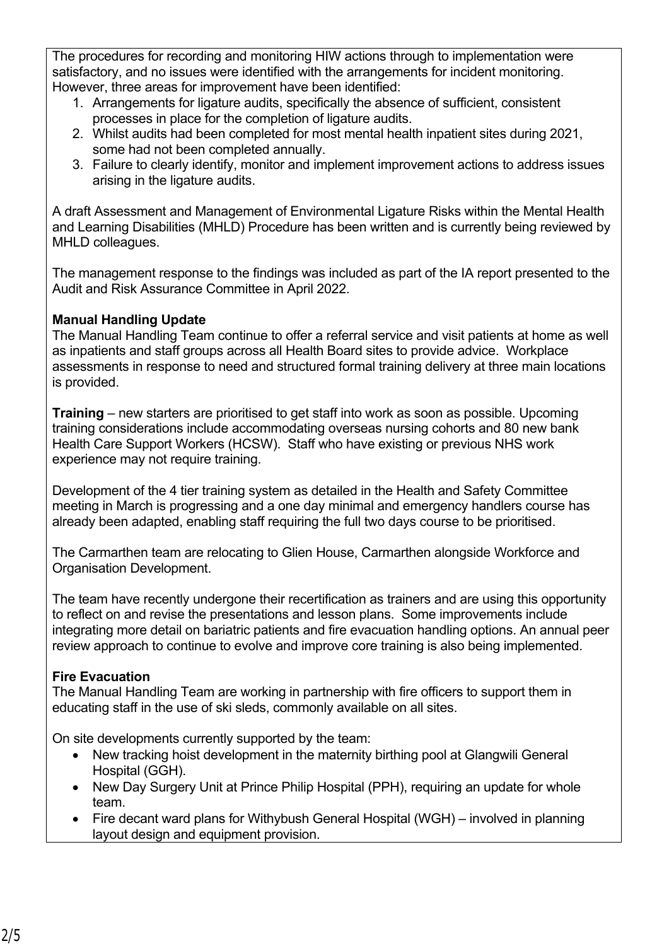The procedures for recording and monitoring HIW actions through to implementation were satisfactory, and no issues were identified with the arrangements for incident monitoring. However, three areas for improvement have been identified:

- 1. Arrangements for ligature audits, specifically the absence of sufficient, consistent processes in place for the completion of ligature audits.
- 2. Whilst audits had been completed for most mental health inpatient sites during 2021, some had not been completed annually.
- 3. Failure to clearly identify, monitor and implement improvement actions to address issues arising in the ligature audits.

A draft Assessment and Management of Environmental Ligature Risks within the Mental Health and Learning Disabilities (MHLD) Procedure has been written and is currently being reviewed by MHLD colleagues.

The management response to the findings was included as part of the IA report presented to the Audit and Risk Assurance Committee in April 2022.

# **Manual Handling Update**

The Manual Handling Team continue to offer a referral service and visit patients at home as well as inpatients and staff groups across all Health Board sites to provide advice. Workplace assessments in response to need and structured formal training delivery at three main locations is provided.

**Training** – new starters are prioritised to get staff into work as soon as possible. Upcoming training considerations include accommodating overseas nursing cohorts and 80 new bank Health Care Support Workers (HCSW). Staff who have existing or previous NHS work experience may not require training.

Development of the 4 tier training system as detailed in the Health and Safety Committee meeting in March is progressing and a one day minimal and emergency handlers course has already been adapted, enabling staff requiring the full two days course to be prioritised.

The Carmarthen team are relocating to Glien House, Carmarthen alongside Workforce and Organisation Development.

The team have recently undergone their recertification as trainers and are using this opportunity to reflect on and revise the presentations and lesson plans. Some improvements include integrating more detail on bariatric patients and fire evacuation handling options. An annual peer review approach to continue to evolve and improve core training is also being implemented.

# **Fire Evacuation**

The Manual Handling Team are working in partnership with fire officers to support them in educating staff in the use of ski sleds, commonly available on all sites.

On site developments currently supported by the team:

- New tracking hoist development in the maternity birthing pool at Glangwili General Hospital (GGH).
- New Day Surgery Unit at Prince Philip Hospital (PPH), requiring an update for whole team.
- Fire decant ward plans for Withybush General Hospital (WGH) involved in planning layout design and equipment provision.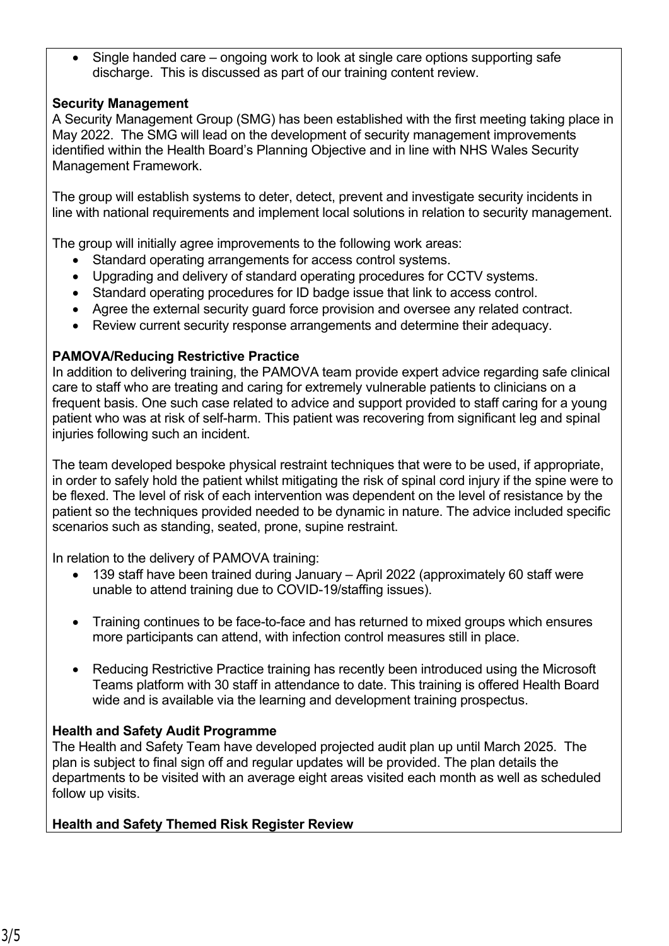• Single handed care – ongoing work to look at single care options supporting safe discharge. This is discussed as part of our training content review.

## **Security Management**

A Security Management Group (SMG) has been established with the first meeting taking place in May 2022. The SMG will lead on the development of security management improvements identified within the Health Board's Planning Objective and in line with NHS Wales Security Management Framework.

The group will establish systems to deter, detect, prevent and investigate security incidents in line with national requirements and implement local solutions in relation to security management.

The group will initially agree improvements to the following work areas:

- Standard operating arrangements for access control systems.
- Upgrading and delivery of standard operating procedures for CCTV systems.
- Standard operating procedures for ID badge issue that link to access control.
- Agree the external security guard force provision and oversee any related contract.
- Review current security response arrangements and determine their adequacy.

#### **PAMOVA/Reducing Restrictive Practice**

In addition to delivering training, the PAMOVA team provide expert advice regarding safe clinical care to staff who are treating and caring for extremely vulnerable patients to clinicians on a frequent basis. One such case related to advice and support provided to staff caring for a young patient who was at risk of self-harm. This patient was recovering from significant leg and spinal injuries following such an incident.

The team developed bespoke physical restraint techniques that were to be used, if appropriate, in order to safely hold the patient whilst mitigating the risk of spinal cord injury if the spine were to be flexed. The level of risk of each intervention was dependent on the level of resistance by the patient so the techniques provided needed to be dynamic in nature. The advice included specific scenarios such as standing, seated, prone, supine restraint.

In relation to the delivery of PAMOVA training:

- 139 staff have been trained during January April 2022 (approximately 60 staff were unable to attend training due to COVID-19/staffing issues).
- Training continues to be face-to-face and has returned to mixed groups which ensures more participants can attend, with infection control measures still in place.
- Reducing Restrictive Practice training has recently been introduced using the Microsoft Teams platform with 30 staff in attendance to date. This training is offered Health Board wide and is available via the learning and development training prospectus.

## **Health and Safety Audit Programme**

The Health and Safety Team have developed projected audit plan up until March 2025. The plan is subject to final sign off and regular updates will be provided. The plan details the departments to be visited with an average eight areas visited each month as well as scheduled follow up visits.

## **Health and Safety Themed Risk Register Review**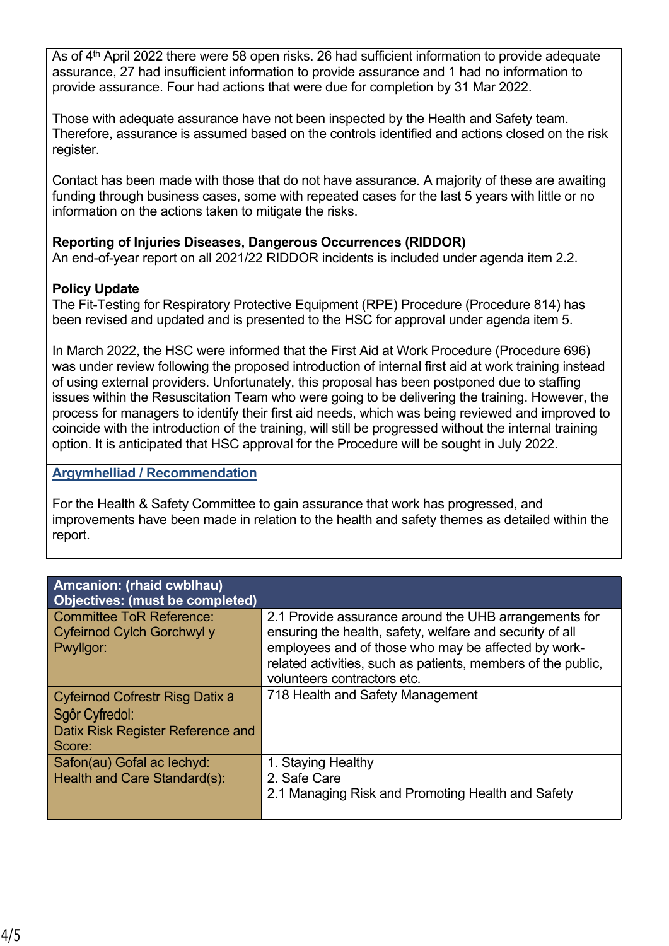As of 4<sup>th</sup> April 2022 there were 58 open risks, 26 had sufficient information to provide adequate assurance, 27 had insufficient information to provide assurance and 1 had no information to provide assurance. Four had actions that were due for completion by 31 Mar 2022.

Those with adequate assurance have not been inspected by the Health and Safety team. Therefore, assurance is assumed based on the controls identified and actions closed on the risk register.

Contact has been made with those that do not have assurance. A majority of these are awaiting funding through business cases, some with repeated cases for the last 5 years with little or no information on the actions taken to mitigate the risks.

# **Reporting of Injuries Diseases, Dangerous Occurrences (RIDDOR)**

An end-of-year report on all 2021/22 RIDDOR incidents is included under agenda item 2.2.

# **Policy Update**

The Fit-Testing for Respiratory Protective Equipment (RPE) Procedure (Procedure 814) has been revised and updated and is presented to the HSC for approval under agenda item 5.

In March 2022, the HSC were informed that the First Aid at Work Procedure (Procedure 696) was under review following the proposed introduction of internal first aid at work training instead of using external providers. Unfortunately, this proposal has been postponed due to staffing issues within the Resuscitation Team who were going to be delivering the training. However, the process for managers to identify their first aid needs, which was being reviewed and improved to coincide with the introduction of the training, will still be progressed without the internal training option. It is anticipated that HSC approval for the Procedure will be sought in July 2022.

#### **Argymhelliad / Recommendation**

For the Health & Safety Committee to gain assurance that work has progressed, and improvements have been made in relation to the health and safety themes as detailed within the report.

| Amcanion: (rhaid cwblhau)<br><b>Objectives: (must be completed)</b>                              |                                                                                                                                                                                                                                                                         |
|--------------------------------------------------------------------------------------------------|-------------------------------------------------------------------------------------------------------------------------------------------------------------------------------------------------------------------------------------------------------------------------|
| <b>Committee ToR Reference:</b><br>Cyfeirnod Cylch Gorchwyl y<br>Pwyllgor:                       | 2.1 Provide assurance around the UHB arrangements for<br>ensuring the health, safety, welfare and security of all<br>employees and of those who may be affected by work-<br>related activities, such as patients, members of the public,<br>volunteers contractors etc. |
| Cyfeirnod Cofrestr Risg Datix a<br>Sgôr Cyfredol:<br>Datix Risk Register Reference and<br>Score: | 718 Health and Safety Management                                                                                                                                                                                                                                        |
| Safon(au) Gofal ac lechyd:<br>Health and Care Standard(s):                                       | 1. Staying Healthy<br>2. Safe Care<br>2.1 Managing Risk and Promoting Health and Safety                                                                                                                                                                                 |